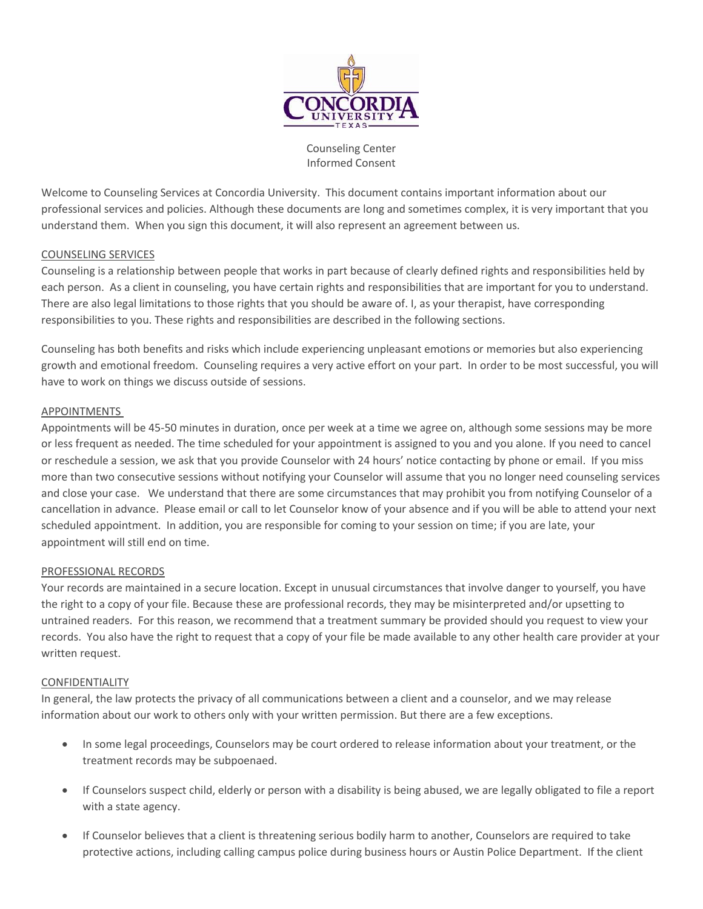

Counseling Center Informed Consent

Welcome to Counseling Services at Concordia University. This document contains important information about our professional services and policies. Although these documents are long and sometimes complex, it is very important that you understand them. When you sign this document, it will also represent an agreement between us.

#### COUNSELING SERVICES

Counseling is a relationship between people that works in part because of clearly defined rights and responsibilities held by each person. As a client in counseling, you have certain rights and responsibilities that are important for you to understand. There are also legal limitations to those rights that you should be aware of. I, as your therapist, have corresponding responsibilities to you. These rights and responsibilities are described in the following sections.

Counseling has both benefits and risks which include experiencing unpleasant emotions or memories but also experiencing growth and emotional freedom. Counseling requires a very active effort on your part. In order to be most successful, you will have to work on things we discuss outside of sessions.

### APPOINTMENTS

Appointments will be 45-50 minutes in duration, once per week at a time we agree on, although some sessions may be more or less frequent as needed. The time scheduled for your appointment is assigned to you and you alone. If you need to cancel or reschedule a session, we ask that you provide Counselor with 24 hours' notice contacting by phone or email. If you miss more than two consecutive sessions without notifying your Counselor will assume that you no longer need counseling services and close your case. We understand that there are some circumstances that may prohibit you from notifying Counselor of a cancellation in advance. Please email or call to let Counselor know of your absence and if you will be able to attend your next scheduled appointment. In addition, you are responsible for coming to your session on time; if you are late, your appointment will still end on time.

#### PROFESSIONAL RECORDS

Your records are maintained in a secure location. Except in unusual circumstances that involve danger to yourself, you have the right to a copy of your file. Because these are professional records, they may be misinterpreted and/or upsetting to untrained readers. For this reason, we recommend that a treatment summary be provided should you request to view your records. You also have the right to request that a copy of your file be made available to any other health care provider at your written request.

#### CONFIDENTIALITY

In general, the law protects the privacy of all communications between a client and a counselor, and we may release information about our work to others only with your written permission. But there are a few exceptions.

- In some legal proceedings, Counselors may be court ordered to release information about your treatment, or the treatment records may be subpoenaed.
- If Counselors suspect child, elderly or person with a disability is being abused, we are legally obligated to file a report with a state agency.
- If Counselor believes that a client is threatening serious bodily harm to another, Counselors are required to take protective actions, including calling campus police during business hours or Austin Police Department. If the client